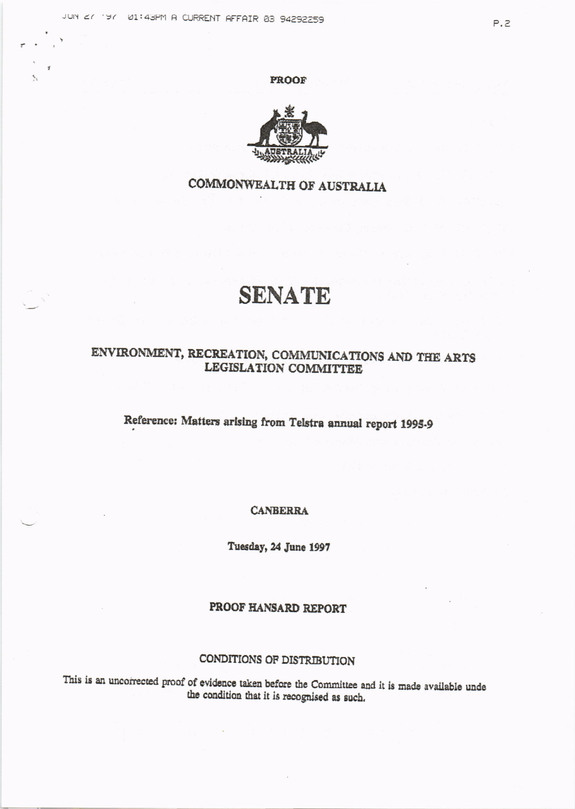**PROOF** 



## COMMONWEALTH OF AUSTRALIA

# **SENATE**

### ENVIRONMENT, RECREATION, COMMUNICATIONS AND THE ARTS LEGISLATION COMMITTEE

# Reference: Matters arising from Telstra annual report 1995-9

**CANBERRA** 

Tuesday, 24 June 1997

### PROOF HANSARD REPORT

#### CONDITIONS OF DISTRIBUTION

This is an uncorrected proof of evidence taken before the Committee and it is made available unde the condition that it is recognised as such.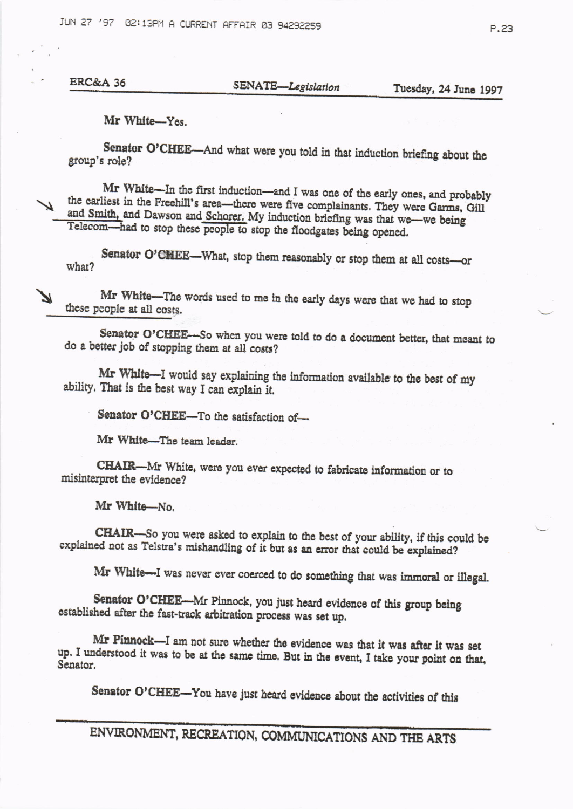JUN 27 '97 02:13PM A CURRENT AFFAIR 03 94292259

**ERC&A 36** 

Tuesday, 24 June 1997

Mr White-Yes.

Senator O'CHEE-And what were you told in that induction briefing about the group's role?

Mr White-In the first induction-and I was one of the early ones, and probably the earliest in the Freehill's area-there were five complainants. They were Garms, Gill and Smith, and Dawson and Schorer. My induction briefing was that we-we being Telecom-had to stop these people to stop the floodgates being opened.

Senator O'CHEE-What, stop them reasonably or stop them at all costs-or what?

Mr White-The words used to me in the early days were that we had to stop these people at all costs.

Senator O'CHEE--So when you were told to do a document better, that meant to do a better job of stopping them at all costs?

Mr White-I would say explaining the information available to the best of my ability. That is the best way I can explain it.

Senator O'CHEE-To the satisfaction of-

Mr White-The team leader.

CHAIR-Mr White, were you ever expected to fabricate information or to misinterpret the evidence?

Mr White-No.

CHAIR-So you were asked to explain to the best of your ability, if this could be explained not as Telstra's mishandling of it but as an error that could be explained?

Mr White-I was never ever coerced to do something that was immoral or illegal.

Senator O'CHEE-Mr Pinnock, you just heard evidence of this group being established after the fast-track arbitration process was set up.

Mr Pinnock-I am not sure whether the evidence was that it was after it was set up. I understood it was to be at the same time. But in the event, I take your point on that, Senator.

Senator O'CHEE-You have just heard evidence about the activities of this